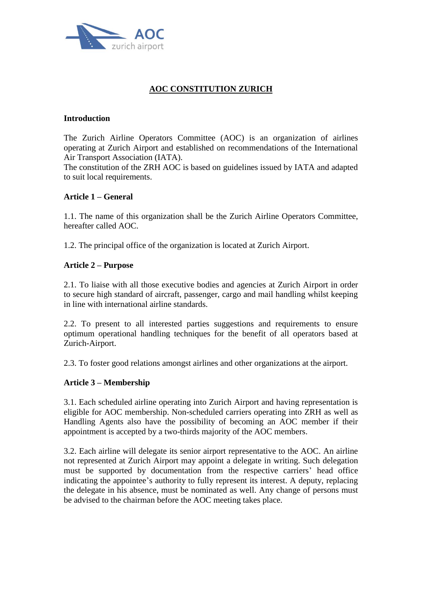

# **AOC CONSTITUTION ZURICH**

### **Introduction**

The Zurich Airline Operators Committee (AOC) is an organization of airlines operating at Zurich Airport and established on recommendations of the International Air Transport Association (IATA).

The constitution of the ZRH AOC is based on guidelines issued by IATA and adapted to suit local requirements.

### **Article 1 – General**

1.1. The name of this organization shall be the Zurich Airline Operators Committee, hereafter called AOC.

1.2. The principal office of the organization is located at Zurich Airport.

# **Article 2 – Purpose**

2.1. To liaise with all those executive bodies and agencies at Zurich Airport in order to secure high standard of aircraft, passenger, cargo and mail handling whilst keeping in line with international airline standards.

2.2. To present to all interested parties suggestions and requirements to ensure optimum operational handling techniques for the benefit of all operators based at Zurich-Airport.

2.3. To foster good relations amongst airlines and other organizations at the airport.

### **Article 3 – Membership**

3.1. Each scheduled airline operating into Zurich Airport and having representation is eligible for AOC membership. Non-scheduled carriers operating into ZRH as well as Handling Agents also have the possibility of becoming an AOC member if their appointment is accepted by a two-thirds majority of the AOC members.

3.2. Each airline will delegate its senior airport representative to the AOC. An airline not represented at Zurich Airport may appoint a delegate in writing. Such delegation must be supported by documentation from the respective carriers' head office indicating the appointee's authority to fully represent its interest. A deputy, replacing the delegate in his absence, must be nominated as well. Any change of persons must be advised to the chairman before the AOC meeting takes place.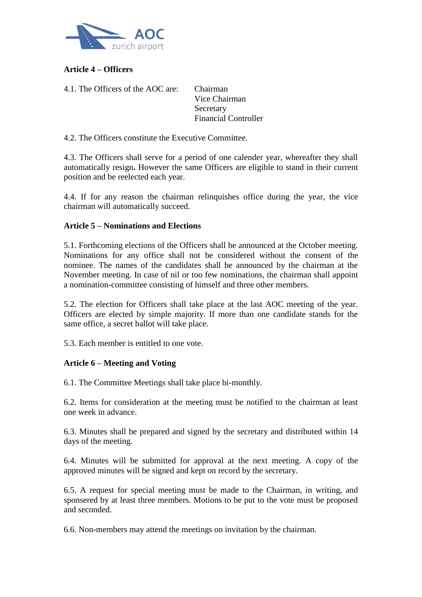

# **Article 4 – Officers**

4.1. The Officers of the AOC are: Chairman

Vice Chairman **Secretary** Financial Controller

4.2. The Officers constitute the Executive Committee.

4.3. The Officers shall serve for a period of one calender year, whereafter they shall automatically resign**.** However the same Officers are eligible to stand in their current position and be reelected each year.

4.4. If for any reason the chairman relinquishes office during the year, the vice chairman will automatically succeed.

### **Article 5 – Nominations and Elections**

5.1. Forthcoming elections of the Officers shall be announced at the October meeting. Nominations for any office shall not be considered without the consent of the nominee. The names of the candidates shall be announced by the chairman at the November meeting. In case of nil or too few nominations, the chairman shall appoint a nomination-committee consisting of himself and three other members.

5.2. The election for Officers shall take place at the last AOC meeting of the year. Officers are elected by simple majority. If more than one candidate stands for the same office, a secret ballot will take place.

5.3. Each member is entitled to one vote.

# **Article 6 – Meeting and Voting**

6.1. The Committee Meetings shall take place bi-monthly.

6.2. Items for consideration at the meeting must be notified to the chairman at least one week in advance.

6.3. Minutes shall be prepared and signed by the secretary and distributed within 14 days of the meeting.

6.4. Minutes will be submitted for approval at the next meeting. A copy of the approved minutes will be signed and kept on record by the secretary.

6.5. A request for special meeting must be made to the Chairman, in writing, and sponsered by at least three members. Motions to be put to the vote must be proposed and seconded.

6.6. Non-members may attend the meetings on invitation by the chairman.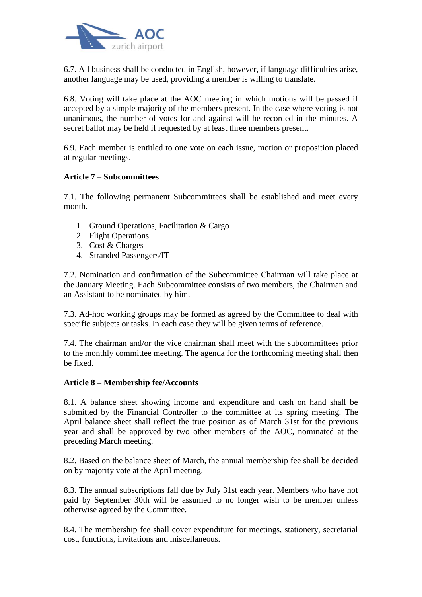

6.7. All business shall be conducted in English, however, if language difficulties arise, another language may be used, providing a member is willing to translate.

6.8. Voting will take place at the AOC meeting in which motions will be passed if accepted by a simple majority of the members present. In the case where voting is not unanimous, the number of votes for and against will be recorded in the minutes. A secret ballot may be held if requested by at least three members present.

6.9. Each member is entitled to one vote on each issue, motion or proposition placed at regular meetings.

### **Article 7 – Subcommittees**

7.1. The following permanent Subcommittees shall be established and meet every month.

- 1. Ground Operations, Facilitation & Cargo
- 2. Flight Operations
- 3. Cost & Charges
- 4. Stranded Passengers/IT

7.2. Nomination and confirmation of the Subcommittee Chairman will take place at the January Meeting. Each Subcommittee consists of two members, the Chairman and an Assistant to be nominated by him.

7.3. Ad-hoc working groups may be formed as agreed by the Committee to deal with specific subjects or tasks. In each case they will be given terms of reference.

7.4. The chairman and/or the vice chairman shall meet with the subcommittees prior to the monthly committee meeting. The agenda for the forthcoming meeting shall then be fixed.

### **Article 8 – Membership fee/Accounts**

8.1. A balance sheet showing income and expenditure and cash on hand shall be submitted by the Financial Controller to the committee at its spring meeting. The April balance sheet shall reflect the true position as of March 31st for the previous year and shall be approved by two other members of the AOC, nominated at the preceding March meeting.

8.2. Based on the balance sheet of March, the annual membership fee shall be decided on by majority vote at the April meeting.

8.3. The annual subscriptions fall due by July 31st each year. Members who have not paid by September 30th will be assumed to no longer wish to be member unless otherwise agreed by the Committee.

8.4. The membership fee shall cover expenditure for meetings, stationery, secretarial cost, functions, invitations and miscellaneous.